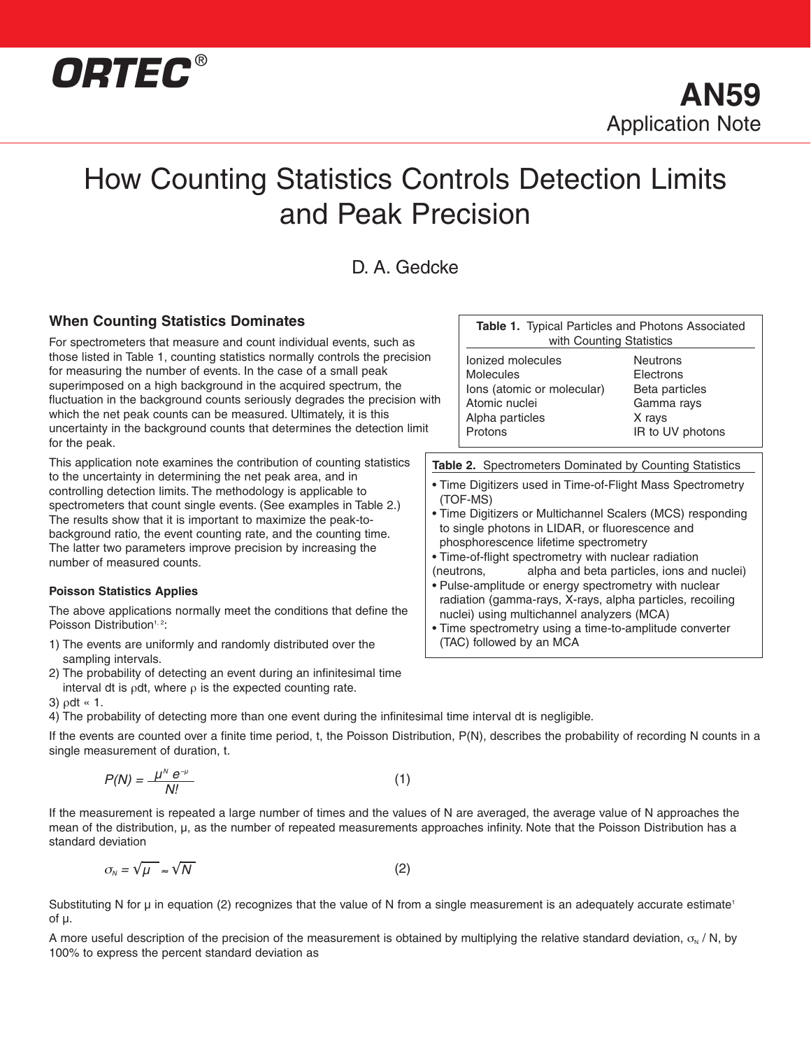

# How Counting Statistics Controls Detection Limits and Peak Precision

D. A. Gedcke

# **When Counting Statistics Dominates**

For spectrometers that measure and count individual events, such as those listed in Table 1, counting statistics normally controls the precision for measuring the number of events. In the case of a small peak superimposed on a high background in the acquired spectrum, the fluctuation in the background counts seriously degrades the precision with which the net peak counts can be measured. Ultimately, it is this uncertainty in the background counts that determines the detection limit for the peak.

This application note examines the contribution of counting statistics to the uncertainty in determining the net peak area, and in controlling detection limits. The methodology is applicable to spectrometers that count single events. (See examples in Table 2.) The results show that it is important to maximize the peak-tobackground ratio, the event counting rate, and the counting time. The latter two parameters improve precision by increasing the number of measured counts.

#### **Poisson Statistics Applies**

The above applications normally meet the conditions that define the Poisson Distribution<sup>1, 2</sup>:

- 1) The events are uniformly and randomly distributed over the sampling intervals.
- 2) The probability of detecting an event during an infinitesimal time interval dt is  $\rho$ dt, where  $\rho$  is the expected counting rate.

3) ρdt « 1.

4) The probability of detecting more than one event during the infinitesimal time interval dt is negligible.

If the events are counted over a finite time period, t, the Poisson Distribution, P(N), describes the probability of recording N counts in a single measurement of duration, t.

$$
P(N) = \frac{\mu^N e^{-\mu}}{N!}
$$
 (1)

If the measurement is repeated a large number of times and the values of N are averaged, the average value of N approaches the mean of the distribution, µ, as the number of repeated measurements approaches infinity. Note that the Poisson Distribution has a standard deviation

$$
\sigma_{N} = \sqrt{\mu} \approx \sqrt{N} \tag{2}
$$

Substituting N for  $\mu$  in equation (2) recognizes that the value of N from a single measurement is an adequately accurate estimate<sup>1</sup> of µ.

A more useful description of the precision of the measurement is obtained by multiplying the relative standard deviation,  $\sigma_N / N$ , by 100% to express the percent standard deviation as

| Table 1. Typical Particles and Photons Associated<br>with Counting Statistics                                      |                                                                                            |  |
|--------------------------------------------------------------------------------------------------------------------|--------------------------------------------------------------------------------------------|--|
| Ionized molecules<br><b>Molecules</b><br>lons (atomic or molecular)<br>Atomic nuclei<br>Alpha particles<br>Protons | <b>Neutrons</b><br>Electrons<br>Beta particles<br>Gamma rays<br>X rays<br>IR to UV photons |  |
| Spectromators Dominated by Counting Statistics                                                                     |                                                                                            |  |

**Table 2.** Spectrometers Dominated by Counting Statistics

- Time Digitizers used in Time-of-Flight Mass Spectrometry (TOF-MS)
- Time Digitizers or Multichannel Scalers (MCS) responding to single photons in LIDAR, or fluorescence and phosphorescence lifetime spectrometry
- Time-of-flight spectrometry with nuclear radiation (neutrons, alpha and beta particles, ions and nuclei)

• Pulse-amplitude or energy spectrometry with nuclear radiation (gamma-rays, X-rays, alpha particles, recoiling nuclei) using multichannel analyzers (MCA)

• Time spectrometry using a time-to-amplitude converter (TAC) followed by an MCA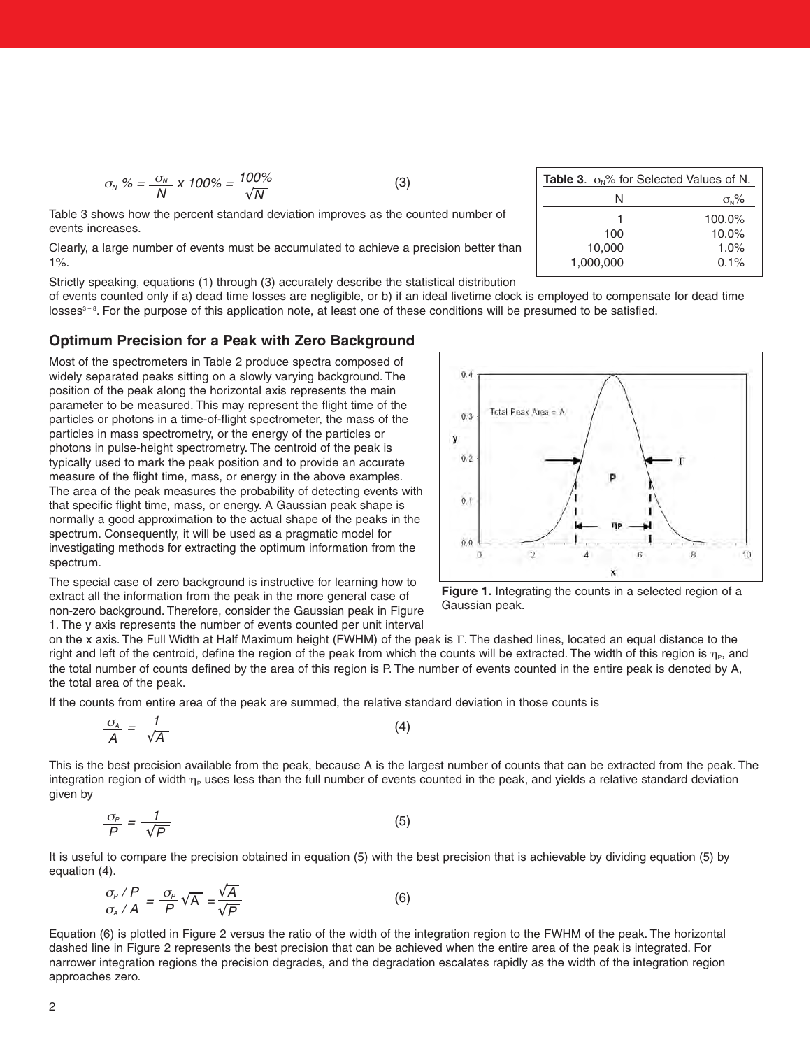$$
\sigma_{N} \% = \frac{\sigma_{N}}{N} \times 100\% = \frac{100\%}{\sqrt{N}}
$$
 (3)

Table 3 shows how the percent standard deviation improves as the counted number of events increases.

Clearly, a large number of events must be accumulated to achieve a precision better than 1%.

Strictly speaking, equations (1) through (3) accurately describe the statistical distribution

of events counted only if a) dead time losses are negligible, or b) if an ideal livetime clock is employed to compensate for dead time losses<sup>3-8</sup>. For the purpose of this application note, at least one of these conditions will be presumed to be satisfied.

### **Optimum Precision for a Peak with Zero Background**

Most of the spectrometers in Table 2 produce spectra composed of widely separated peaks sitting on a slowly varying background. The position of the peak along the horizontal axis represents the main parameter to be measured. This may represent the flight time of the particles or photons in a time-of-flight spectrometer, the mass of the particles in mass spectrometry, or the energy of the particles or photons in pulse-height spectrometry. The centroid of the peak is typically used to mark the peak position and to provide an accurate measure of the flight time, mass, or energy in the above examples. The area of the peak measures the probability of detecting events with that specific flight time, mass, or energy. A Gaussian peak shape is normally a good approximation to the actual shape of the peaks in the spectrum. Consequently, it will be used as a pragmatic model for investigating methods for extracting the optimum information from the spectrum.

The special case of zero background is instructive for learning how to extract all the information from the peak in the more general case of non-zero background. Therefore, consider the Gaussian peak in Figure 1. The y axis represents the number of events counted per unit interval





**Figure 1.** Integrating the counts in a selected region of a Gaussian peak.

on the x axis. The Full Width at Half Maximum height (FWHM) of the peak is Γ. The dashed lines, located an equal distance to the right and left of the centroid, define the region of the peak from which the counts will be extracted. The width of this region is  $\eta_{\rm e}$ , and the total number of counts defined by the area of this region is P. The number of events counted in the entire peak is denoted by A, the total area of the peak.

If the counts from entire area of the peak are summed, the relative standard deviation in those counts is

$$
\frac{\sigma_A}{A} = \frac{1}{\sqrt{A}} \tag{4}
$$

This is the best precision available from the peak, because A is the largest number of counts that can be extracted from the peak. The integration region of width  $\eta_P$  uses less than the full number of events counted in the peak, and yields a relative standard deviation given by

$$
\frac{\sigma_{\rho}}{P} = \frac{1}{\sqrt{P}}\tag{5}
$$

It is useful to compare the precision obtained in equation (5) with the best precision that is achievable by dividing equation (5) by equation (4).

$$
\frac{\sigma_P/P}{\sigma_A/A} = \frac{\sigma_P}{P}\sqrt{A} = \frac{\sqrt{A}}{\sqrt{P}}
$$
 (6)

Equation (6) is plotted in Figure 2 versus the ratio of the width of the integration region to the FWHM of the peak. The horizontal dashed line in Figure 2 represents the best precision that can be achieved when the entire area of the peak is integrated. For narrower integration regions the precision degrades, and the degradation escalates rapidly as the width of the integration region approaches zero.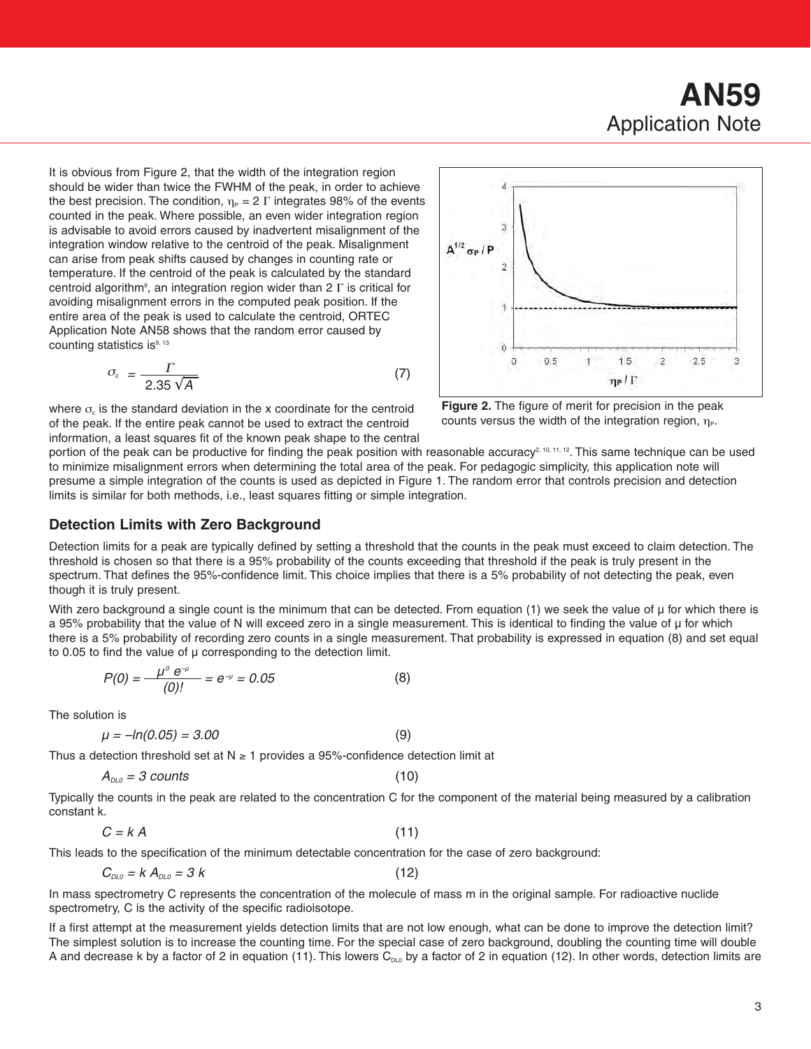It is obvious from Figure 2, that the width of the integration region should be wider than twice the FWHM of the peak, in order to achieve the best precision. The condition,  $\eta_P = 2 \Gamma$  integrates 98% of the events counted in the peak. Where possible, an even wider integration region is advisable to avoid errors caused by inadvertent misalignment of the integration window relative to the centroid of the peak. Misalignment can arise from peak shifts caused by changes in counting rate or temperature. If the centroid of the peak is calculated by the standard centroid algorithm<sup>9</sup>, an integration region wider than 2  $\Gamma$  is critical for avoiding misalignment errors in the computed peak position. If the entire area of the peak is used to calculate the centroid, ORTEC Application Note AN58 shows that the random error caused by counting statistics is<sup>9, 13</sup>

$$
\sigma_c = \frac{\Gamma}{2.35\sqrt{A}}\tag{7}
$$

where  $\sigma_{\rm c}$  is the standard deviation in the x coordinate for the centroid of the peak. If the entire peak cannot be used to extract the centroid information, a least squares fit of the known peak shape to the central



**Figure 2.** The figure of merit for precision in the peak counts versus the width of the integration region,  $\eta_{\rm P}$ .

portion of the peak can be productive for finding the peak position with reasonable accuracy<sup>2, 10, 11, 12</sup>. This same technique can be used to minimize misalignment errors when determining the total area of the peak. For pedagogic simplicity, this application note will presume a simple integration of the counts is used as depicted in Figure 1. The random error that controls precision and detection limits is similar for both methods, i.e., least squares fitting or simple integration.

# **Detection Limits with Zero Background**

Detection limits for a peak are typically defined by setting a threshold that the counts in the peak must exceed to claim detection. The threshold is chosen so that there is a 95% probability of the counts exceeding that threshold if the peak is truly present in the spectrum. That defines the 95%-confidence limit. This choice implies that there is a 5% probability of not detecting the peak, even though it is truly present.

With zero background a single count is the minimum that can be detected. From equation  $(1)$  we seek the value of  $\mu$  for which there is a 95% probability that the value of N will exceed zero in a single measurement. This is identical to finding the value of µ for which there is a 5% probability of recording zero counts in a single measurement. That probability is expressed in equation (8) and set equal to 0.05 to find the value of  $\mu$  corresponding to the detection limit.

$$
P(0) = \frac{\mu^0 e^{-\mu}}{(0)!} = e^{-\mu} = 0.05
$$
 (8)

The solution is

$$
\mu = -\ln(0.05) = 3.00\tag{9}
$$

Thus a detection threshold set at  $N \ge 1$  provides a 95%-confidence detection limit at

$$
A_{\rho_{L0}} = 3 \text{ counts} \tag{10}
$$

Typically the counts in the peak are related to the concentration C for the component of the material being measured by a calibration constant k.

$$
C = k A \tag{11}
$$

This leads to the specification of the minimum detectable concentration for the case of zero background:

 $C_{DLO} = k A_{DLO} = 3 k$  (12)

In mass spectrometry C represents the concentration of the molecule of mass m in the original sample. For radioactive nuclide spectrometry, C is the activity of the specific radioisotope.

If a first attempt at the measurement yields detection limits that are not low enough, what can be done to improve the detection limit? The simplest solution is to increase the counting time. For the special case of zero background, doubling the counting time will double A and decrease k by a factor of 2 in equation (11). This lowers  $C_{DLO}$  by a factor of 2 in equation (12). In other words, detection limits are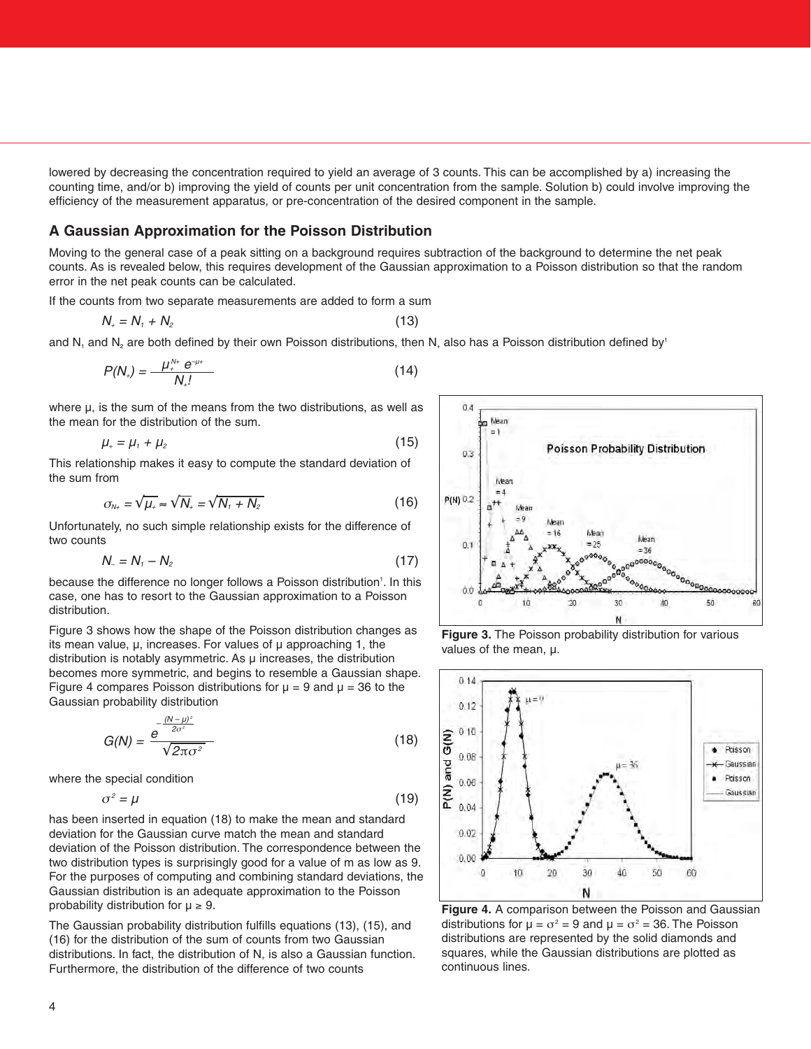lowered by decreasing the concentration required to yield an average of 3 counts. This can be accomplished by a) increasing the counting time, and/or b) improving the yield of counts per unit concentration from the sample. Solution b) could involve improving the efficiency of the measurement apparatus, or pre-concentration of the desired component in the sample.

#### **A Gaussian Approximation for the Poisson Distribution**

Moving to the general case of a peak sitting on a background requires subtraction of the background to determine the net peak counts. As is revealed below, this requires development of the Gaussian approximation to a Poisson distribution so that the random error in the net peak counts can be calculated.

If the counts from two separate measurements are added to form a sum

$$
N_{+}=N_{1}+N_{2} \tag{13}
$$

and N<sub>1</sub> and N<sub>2</sub> are both defined by their own Poisson distributions, then N<sub>+</sub> also has a Poisson distribution defined by<sup>1</sup>

$$
P(N_{+}) = \frac{\mu_{+}^{N_{+}} e^{-\mu_{+}}}{N_{+}!}
$$
 (14)

where  $\mu_{+}$  is the sum of the means from the two distributions, as well as the mean for the distribution of the sum.

$$
\mu_{\scriptscriptstyle{+}} = \mu_{\scriptscriptstyle{1}} + \mu_{\scriptscriptstyle{2}} \tag{15}
$$

This relationship makes it easy to compute the standard deviation of the sum from

$$
\sigma_{N_+} = \sqrt{\mu_+} \approx \sqrt{N_+} = \sqrt{N_+ + N_2} \tag{16}
$$

Unfortunately, no such simple relationship exists for the difference of two counts

$$
N_{-}=N_{1}-N_{2} \tag{17}
$$

because the difference no longer follows a Poisson distribution<sup>1</sup>. In this case, one has to resort to the Gaussian approximation to a Poisson distribution.

Figure 3 shows how the shape of the Poisson distribution changes as its mean value,  $\mu$ , increases. For values of  $\mu$  approaching 1, the distribution is notably asymmetric. As µ increases, the distribution becomes more symmetric, and begins to resemble a Gaussian shape. Figure 4 compares Poisson distributions for  $\mu = 9$  and  $\mu = 36$  to the Gaussian probability distribution

$$
G(N) = \frac{e^{-\frac{(N-\mu)^2}{2\sigma^2}}}{\sqrt{2\pi\sigma^2}}
$$
 (18)

where the special condition

$$
\sigma^2 = \mu \tag{19}
$$

has been inserted in equation (18) to make the mean and standard deviation for the Gaussian curve match the mean and standard deviation of the Poisson distribution. The correspondence between the two distribution types is surprisingly good for a value of m as low as 9. For the purposes of computing and combining standard deviations, the Gaussian distribution is an adequate approximation to the Poisson probability distribution for  $\mu \geq 9$ .

The Gaussian probability distribution fulfills equations (13), (15), and (16) for the distribution of the sum of counts from two Gaussian distributions. In fact, the distribution of  $N_+$  is also a Gaussian function. Furthermore, the distribution of the difference of two counts







**Figure 4.** A comparison between the Poisson and Gaussian distributions for  $\mu = \sigma^2 = 9$  and  $\mu = \sigma^2 = 36$ . The Poisson distributions are represented by the solid diamonds and squares, while the Gaussian distributions are plotted as continuous lines.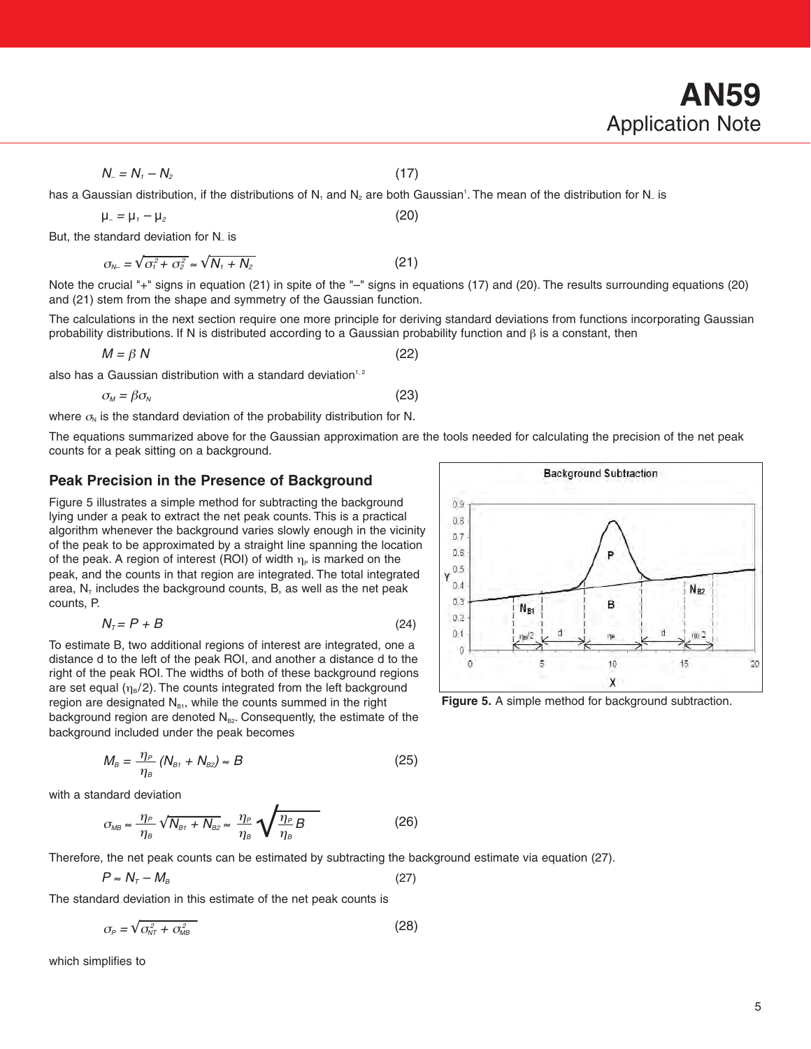$N_{-} = N_{1} - N_{2}$  (17)

has a Gaussian distribution, if the distributions of N<sub>1</sub> and N<sub>2</sub> are both Gaussian'. The mean of the distribution for N<sub>-</sub> is  $\mu = \mu_1 - \mu_2$  (20)

But, the standard deviation for N– is

Note the crucial "+" signs in equation (21) in spite of the "–" signs in equations (17) and (20). The results surrounding equations (20) and (21) stem from the shape and symmetry of the Gaussian function.

The calculations in the next section require one more principle for deriving standard deviations from functions incorporating Gaussian probability distributions. If N is distributed according to a Gaussian probability function and  $\beta$  is a constant, then

 $M = \beta N$  (22)

also has a Gaussian distribution with a standard deviation<sup>1, 2</sup>

$$
\sigma_{\scriptscriptstyle M} = \beta \sigma_{\scriptscriptstyle N} \tag{23}
$$

 $\sigma_{N-} = \sqrt{\sigma_1^2 + \sigma_2^2} \approx \sqrt{N_1 + N_2}$  (21)

where  $\sigma_{N}$  is the standard deviation of the probability distribution for N.

The equations summarized above for the Gaussian approximation are the tools needed for calculating the precision of the net peak counts for a peak sitting on a background.

# **Peak Precision in the Presence of Background**

Figure 5 illustrates a simple method for subtracting the background lying under a peak to extract the net peak counts. This is a practical algorithm whenever the background varies slowly enough in the vicinity of the peak to be approximated by a straight line spanning the location of the peak. A region of interest (ROI) of width  $\eta_P$  is marked on the peak, and the counts in that region are integrated. The total integrated area,  $N_T$  includes the background counts, B, as well as the net peak counts, P.

$$
N_{\tau} = P + B \tag{24}
$$

To estimate B, two additional regions of interest are integrated, one a distance d to the left of the peak ROI, and another a distance d to the right of the peak ROI. The widths of both of these background regions are set equal  $(\eta_B/2)$ . The counts integrated from the left background region are designated  $N<sub>81</sub>$ , while the counts summed in the right background region are denoted  $N_{B2}$ . Consequently, the estimate of the background included under the peak becomes

$$
M_B = \frac{\eta_P}{\eta_B} \left( N_{B1} + N_{B2} \right) \approx B \tag{25}
$$

with a standard deviation

$$
\sigma_{MB} \approx \frac{\eta_P}{\eta_B} \sqrt{N_{B1} + N_{B2}} \approx \frac{\eta_P}{\eta_B} \sqrt{\frac{\eta_P}{\eta_B} B}
$$
 (26)

Therefore, the net peak counts can be estimated by subtracting the background estimate via equation (27).

$$
P \approx N_{\tau} - M_{\rm B} \tag{27}
$$

The standard deviation in this estimate of the net peak counts is

$$
\sigma_{\rho} = \sqrt{\sigma_{NT}^2 + \sigma_{MB}^2} \tag{28}
$$

which simplifies to

**Figure 5.** A simple method for background subtraction.

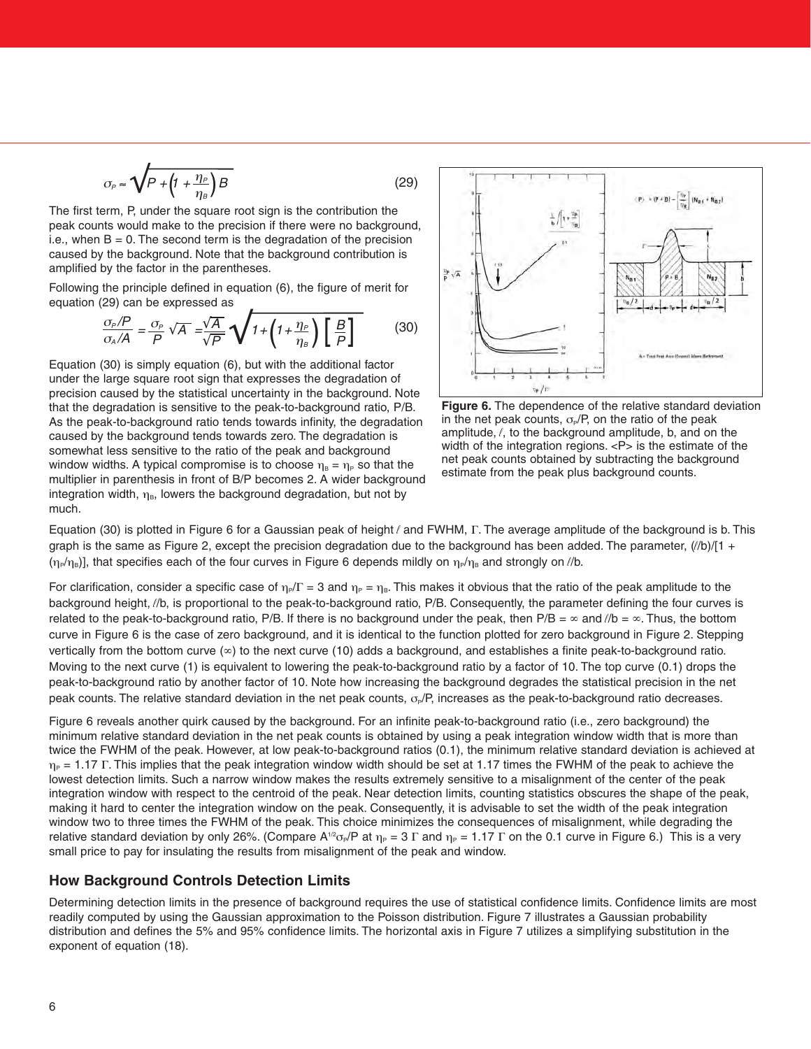$$
\sigma_{P} \approx \sqrt{P + \left(1 + \frac{\eta_{P}}{\eta_{B}}\right)B}
$$
\n(29)

The first term, P, under the square root sign is the contribution the peak counts would make to the precision if there were no background, i.e., when  $B = 0$ . The second term is the degradation of the precision caused by the background. Note that the background contribution is amplified by the factor in the parentheses.

Following the principle defined in equation (6), the figure of merit for equation (29) can be expressed as

$$
\frac{\sigma_P/P}{\sigma_A/A} = \frac{\sigma_P}{P} \sqrt{A} = \frac{\sqrt{A}}{\sqrt{P}} \sqrt{1 + \left(1 + \frac{\eta_P}{\eta_B}\right) \left[\frac{B}{P}\right]}
$$
(30)

Equation (30) is simply equation (6), but with the additional factor under the large square root sign that expresses the degradation of precision caused by the statistical uncertainty in the background. Note that the degradation is sensitive to the peak-to-background ratio, P/B. As the peak-to-background ratio tends towards infinity, the degradation caused by the background tends towards zero. The degradation is somewhat less sensitive to the ratio of the peak and background window widths. A typical compromise is to choose  $\eta_B = \eta_P$  so that the multiplier in parenthesis in front of B/P becomes 2. A wider background integration width,  $\eta_B$ , lowers the background degradation, but not by much.



**Figure 6.** The dependence of the relative standard deviation in the net peak counts,  $\sigma_{\rm P}$ /P, on the ratio of the peak amplitude, *l*, to the background amplitude, b, and on the width of the integration regions. <P> is the estimate of the net peak counts obtained by subtracting the background estimate from the peak plus background counts.

Equation (30) is plotted in Figure 6 for a Gaussian peak of height *l* and FWHM, Γ. The average amplitude of the background is b. This graph is the same as Figure 2, except the precision degradation due to the background has been added. The parameter,  $(\ell/b)/[1 +$  $(\eta_P/\eta_B)$ ], that specifies each of the four curves in Figure 6 depends mildly on  $\eta_P/\eta_B$  and strongly on //b.

For clarification, consider a specific case of  $\eta_P/\Gamma = 3$  and  $\eta_P = \eta_B$ . This makes it obvious that the ratio of the peak amplitude to the background height, *l*/b, is proportional to the peak-to-background ratio, P/B. Consequently, the parameter defining the four curves is related to the peak-to-background ratio, P/B. If there is no background under the peak, then  $P/B = \infty$  and  $l/b = \infty$ . Thus, the bottom curve in Figure 6 is the case of zero background, and it is identical to the function plotted for zero background in Figure 2. Stepping vertically from the bottom curve  $(\infty)$  to the next curve (10) adds a background, and establishes a finite peak-to-background ratio. Moving to the next curve (1) is equivalent to lowering the peak-to-background ratio by a factor of 10. The top curve (0.1) drops the peak-to-background ratio by another factor of 10. Note how increasing the background degrades the statistical precision in the net peak counts. The relative standard deviation in the net peak counts,  $\sigma_{\rm P}$ , increases as the peak-to-background ratio decreases.

Figure 6 reveals another quirk caused by the background. For an infinite peak-to-background ratio (i.e., zero background) the minimum relative standard deviation in the net peak counts is obtained by using a peak integration window width that is more than twice the FWHM of the peak. However, at low peak-to-background ratios (0.1), the minimum relative standard deviation is achieved at  $\eta_P$  = 1.17 Γ. This implies that the peak integration window width should be set at 1.17 times the FWHM of the peak to achieve the lowest detection limits. Such a narrow window makes the results extremely sensitive to a misalignment of the center of the peak integration window with respect to the centroid of the peak. Near detection limits, counting statistics obscures the shape of the peak, making it hard to center the integration window on the peak. Consequently, it is advisable to set the width of the peak integration window two to three times the FWHM of the peak. This choice minimizes the consequences of misalignment, while degrading the relative standard deviation by only 26%. (Compare A<sup>1/2</sup>σ<sub>P</sub>/P at  $\eta_P = 3 \Gamma$  and  $\eta_P = 1.17 \Gamma$  on the 0.1 curve in Figure 6.) This is a very small price to pay for insulating the results from misalignment of the peak and window.

#### **How Background Controls Detection Limits**

Determining detection limits in the presence of background requires the use of statistical confidence limits. Confidence limits are most readily computed by using the Gaussian approximation to the Poisson distribution. Figure 7 illustrates a Gaussian probability distribution and defines the 5% and 95% confidence limits. The horizontal axis in Figure 7 utilizes a simplifying substitution in the exponent of equation (18).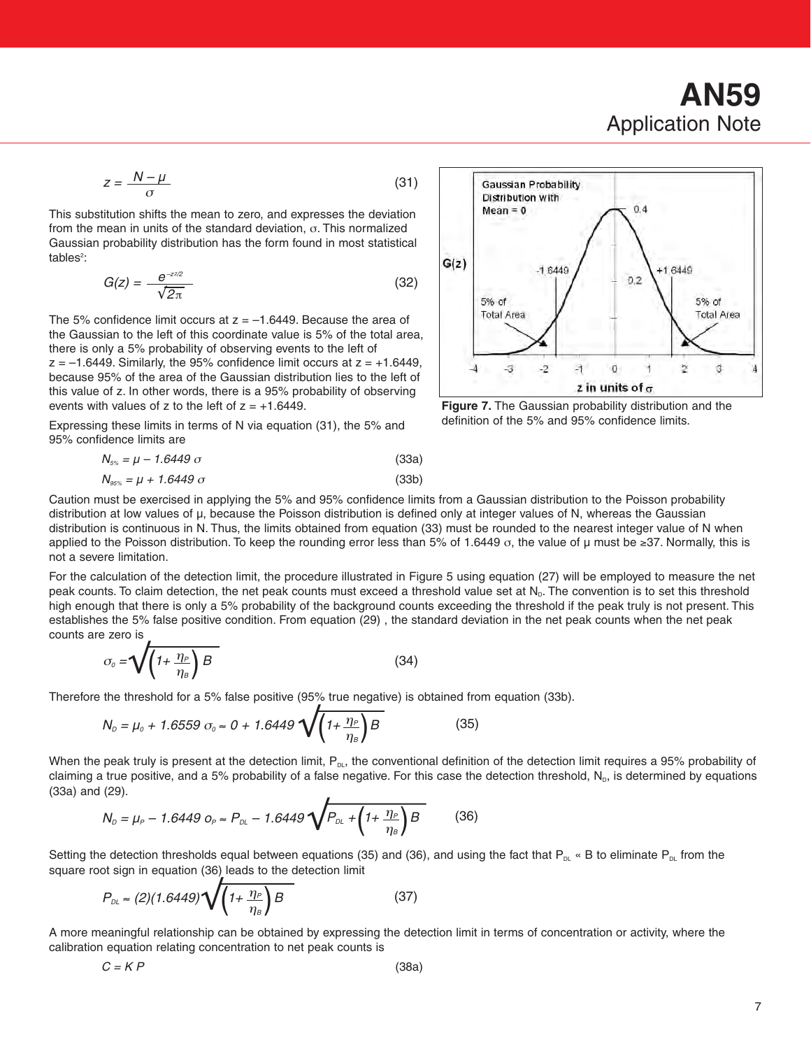# **AN59** Application Note

$$
z = \frac{N - \mu}{\sigma} \tag{31}
$$

This substitution shifts the mean to zero, and expresses the deviation from the mean in units of the standard deviation, σ. This normalized Gaussian probability distribution has the form found in most statistical tables<sup>2</sup>:

$$
G(z) = \frac{e^{-z \cdot z}}{\sqrt{2\pi}}\tag{32}
$$

The 5% confidence limit occurs at  $z = -1.6449$ . Because the area of the Gaussian to the left of this coordinate value is 5% of the total area, there is only a 5% probability of observing events to the left of  $z = -1.6449$ . Similarly, the 95% confidence limit occurs at  $z = +1.6449$ ,

because 95% of the area of the Gaussian distribution lies to the left of this value of z. In other words, there is a 95% probability of observing events with values of z to the left of  $z = +1.6449$ .

Expressing these limits in terms of N via equation (31), the 5% and 95% confidence limits are

$$
N_{5\%} = \mu - 1.6449 \sigma \tag{33a}
$$
\n
$$
N_{\text{max}} = \mu + 1.6449 \sigma \tag{33b}
$$

$$
N_{95\%} = \mu + 1.6449 \,\sigma \tag{33b}
$$



distribution at low values of µ, because the Poisson distribution is defined only at integer values of N, whereas the Gaussian distribution is continuous in N. Thus, the limits obtained from equation (33) must be rounded to the nearest integer value of N when applied to the Poisson distribution. To keep the rounding error less than 5% of 1.6449  $\sigma$ , the value of µ must be  $\geq 37$ . Normally, this is not a severe limitation.

For the calculation of the detection limit, the procedure illustrated in Figure 5 using equation (27) will be employed to measure the net peak counts. To claim detection, the net peak counts must exceed a threshold value set at  $N<sub>p</sub>$ . The convention is to set this threshold high enough that there is only a 5% probability of the background counts exceeding the threshold if the peak truly is not present. This establishes the 5% false positive condition. From equation (29) , the standard deviation in the net peak counts when the net peak counts are zero is

$$
\sigma_o = \sqrt{\left(1 + \frac{\eta_P}{\eta_s}\right)B} \tag{34}
$$

Therefore the threshold for a 5% false positive (95% true negative) is obtained from equation (33b).

$$
N_{D} = \mu_{0} + 1.6559 \sigma_{0} \approx 0 + 1.6449 \sqrt{\left(1 + \frac{\eta_{P}}{\eta_{B}}\right)B}
$$
(35)

When the peak truly is present at the detection limit,  $P_{DL}$ , the conventional definition of the detection limit requires a 95% probability of claiming a true positive, and a 5% probability of a false negative. For this case the detection threshold,  $N_{\rm p}$ , is determined by equations (33a) and (29).

$$
N_{D} = \mu_{P} - 1.6449 \, o_{P} \approx P_{DL} - 1.6449 \sqrt{P_{DL} + \left(1 + \frac{\eta_{P}}{\eta_{B}}\right)B} \tag{36}
$$

Setting the detection thresholds equal between equations (35) and (36), and using the fact that  $P_{DL}$  « B to eliminate  $P_{DL}$  from the square root sign in equation (36) leads to the detection limit

$$
P_{\rho_L} \approx (2)(1.6449)\sqrt{\left(1+\frac{\eta_P}{\eta_B}\right)B} \tag{37}
$$

A more meaningful relationship can be obtained by expressing the detection limit in terms of concentration or activity, where the calibration equation relating concentration to net peak counts is

| $C = KP$ | (38a) |  |
|----------|-------|--|
|          |       |  |



**Figure 7.** The Gaussian probability distribution and the definition of the 5% and 95% confidence limits.